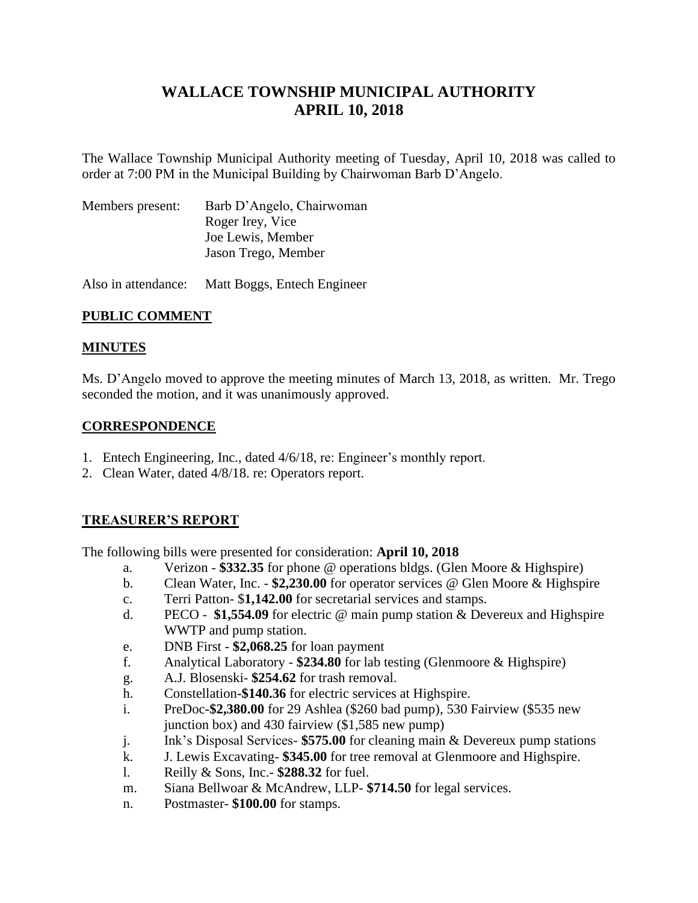# **WALLACE TOWNSHIP MUNICIPAL AUTHORITY APRIL 10, 2018**

The Wallace Township Municipal Authority meeting of Tuesday, April 10, 2018 was called to order at 7:00 PM in the Municipal Building by Chairwoman Barb D'Angelo.

| Members present: | Barb D'Angelo, Chairwoman |
|------------------|---------------------------|
|                  | Roger Irey, Vice          |
|                  | Joe Lewis, Member         |
|                  | Jason Trego, Member       |
|                  |                           |

Also in attendance: Matt Boggs, Entech Engineer

# **PUBLIC COMMENT**

# **MINUTES**

Ms. D'Angelo moved to approve the meeting minutes of March 13, 2018, as written. Mr. Trego seconded the motion, and it was unanimously approved.

# **CORRESPONDENCE**

- 1. Entech Engineering, Inc., dated 4/6/18, re: Engineer's monthly report.
- 2. Clean Water, dated 4/8/18. re: Operators report.

# **TREASURER'S REPORT**

The following bills were presented for consideration: **April 10, 2018**

- a. Verizon **\$332.35** for phone @ operations bldgs. (Glen Moore & Highspire)
- b. Clean Water, Inc. **\$2,230.00** for operator services @ Glen Moore & Highspire
- c. Terri Patton- \$**1,142.00** for secretarial services and stamps.
- d. PECO **\$1,554.09** for electric @ main pump station & Devereux and Highspire WWTP and pump station.
- e. DNB First **\$2,068.25** for loan payment
- f. Analytical Laboratory **\$234.80** for lab testing (Glenmoore & Highspire)
- g. A.J. Blosenski- **\$254.62** for trash removal.
- h. Constellation**-\$140.36** for electric services at Highspire.
- i. PreDoc**-\$2,380.00** for 29 Ashlea (\$260 bad pump), 530 Fairview (\$535 new junction box) and 430 fairview (\$1,585 new pump)
- j. Ink's Disposal Services- **\$575.00** for cleaning main & Devereux pump stations
- k. J. Lewis Excavating- **\$345.00** for tree removal at Glenmoore and Highspire.
- l. Reilly & Sons, Inc.- **\$288.32** for fuel.
- m. Siana Bellwoar & McAndrew, LLP- **\$714.50** for legal services.
- n. Postmaster- **\$100.00** for stamps.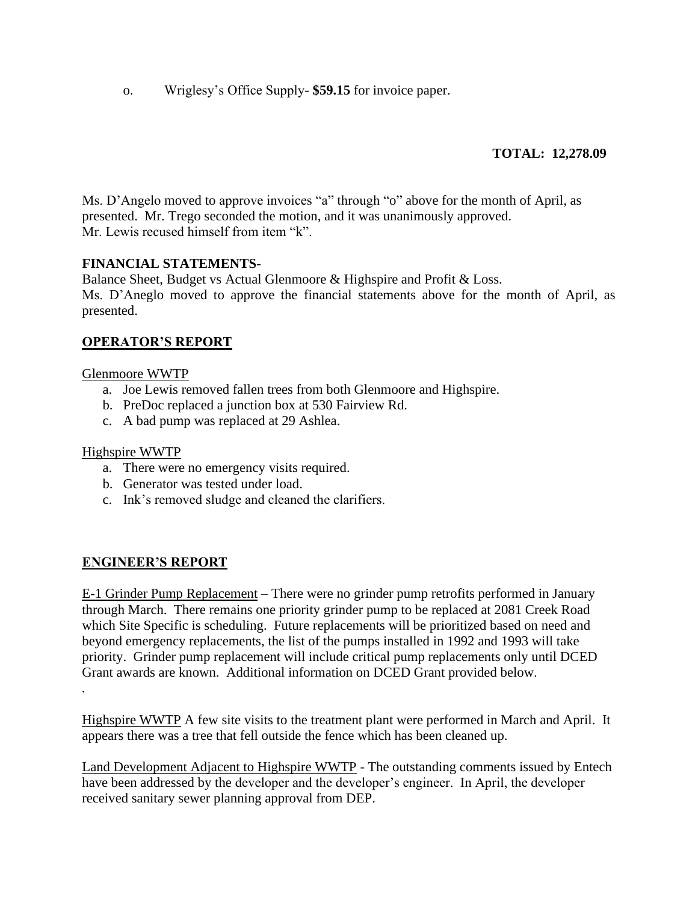o. Wriglesy's Office Supply- **\$59.15** for invoice paper.

# **TOTAL: 12,278.09**

Ms. D'Angelo moved to approve invoices "a" through "o" above for the month of April, as presented. Mr. Trego seconded the motion, and it was unanimously approved. Mr. Lewis recused himself from item "k".

### **FINANCIAL STATEMENTS**-

Balance Sheet, Budget vs Actual Glenmoore & Highspire and Profit & Loss. Ms. D'Aneglo moved to approve the financial statements above for the month of April, as presented.

# **OPERATOR'S REPORT**

#### Glenmoore WWTP

- a. Joe Lewis removed fallen trees from both Glenmoore and Highspire.
- b. PreDoc replaced a junction box at 530 Fairview Rd.
- c. A bad pump was replaced at 29 Ashlea.

#### Highspire WWTP

- a. There were no emergency visits required.
- b. Generator was tested under load.
- c. Ink's removed sludge and cleaned the clarifiers.

#### **ENGINEER'S REPORT**

E-1 Grinder Pump Replacement – There were no grinder pump retrofits performed in January through March. There remains one priority grinder pump to be replaced at 2081 Creek Road which Site Specific is scheduling. Future replacements will be prioritized based on need and beyond emergency replacements, the list of the pumps installed in 1992 and 1993 will take priority. Grinder pump replacement will include critical pump replacements only until DCED Grant awards are known. Additional information on DCED Grant provided below. *.*

Highspire WWTP A few site visits to the treatment plant were performed in March and April. It appears there was a tree that fell outside the fence which has been cleaned up.

Land Development Adjacent to Highspire WWTP - The outstanding comments issued by Entech have been addressed by the developer and the developer's engineer. In April, the developer received sanitary sewer planning approval from DEP.